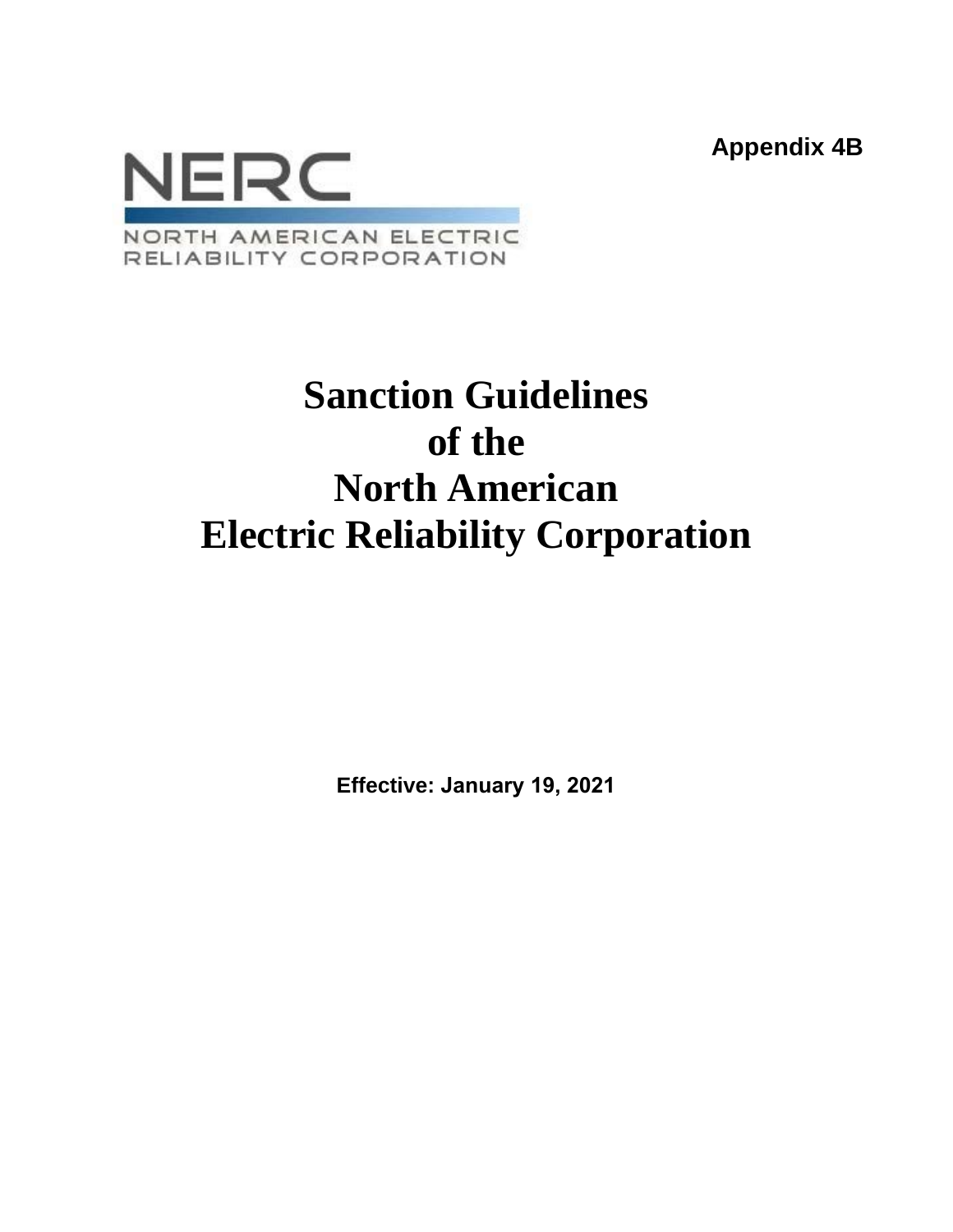**Appendix 4B**



# **Sanction Guidelines of the North American Electric Reliability Corporation**

**Effective: January 19, 2021**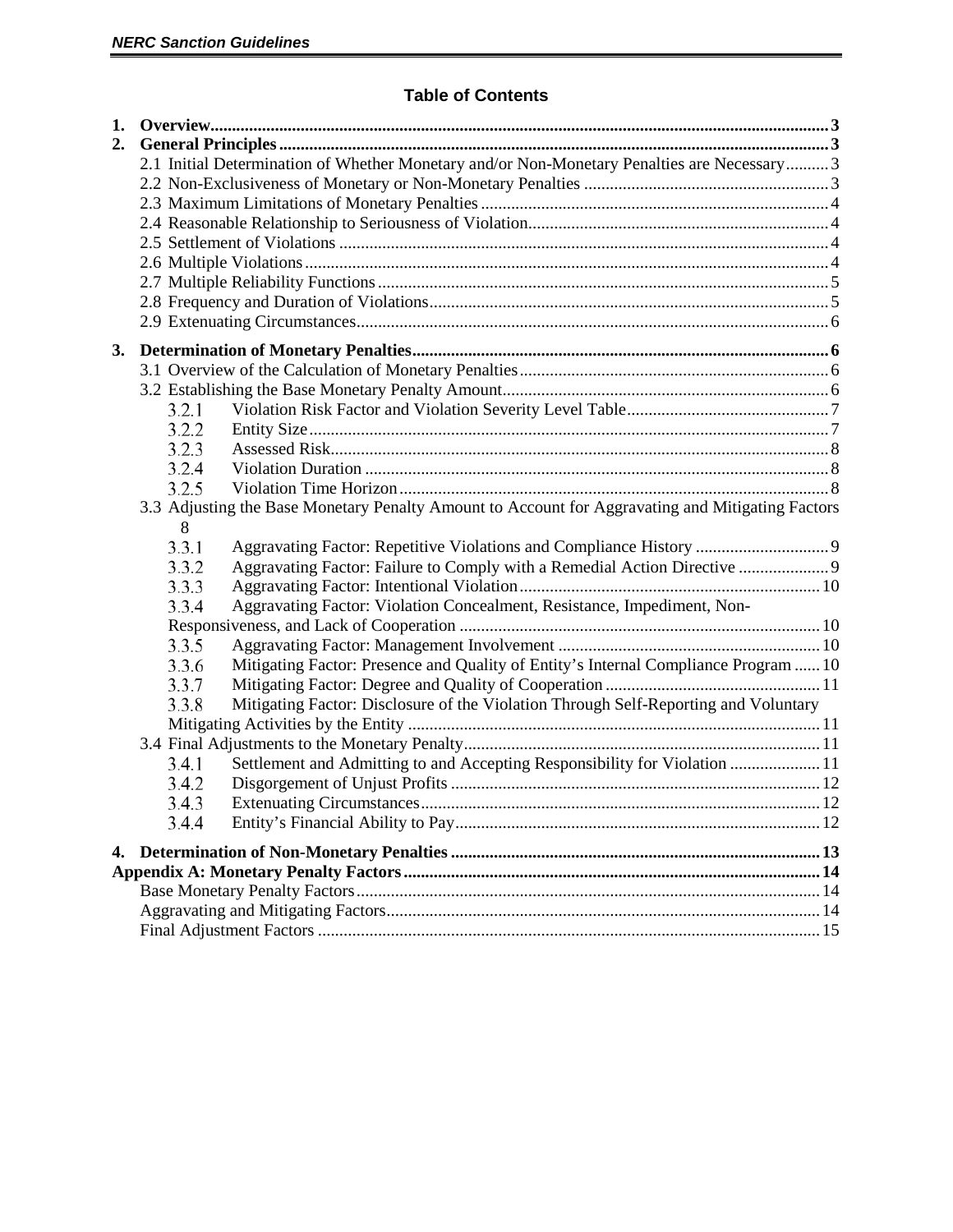## **Table of Contents**

| 1. |       |                                                                                                  |  |  |  |  |
|----|-------|--------------------------------------------------------------------------------------------------|--|--|--|--|
| 2. |       |                                                                                                  |  |  |  |  |
|    |       | 2.1 Initial Determination of Whether Monetary and/or Non-Monetary Penalties are Necessary 3      |  |  |  |  |
|    |       |                                                                                                  |  |  |  |  |
|    |       |                                                                                                  |  |  |  |  |
|    |       |                                                                                                  |  |  |  |  |
|    |       |                                                                                                  |  |  |  |  |
|    |       |                                                                                                  |  |  |  |  |
|    |       |                                                                                                  |  |  |  |  |
|    |       |                                                                                                  |  |  |  |  |
|    |       |                                                                                                  |  |  |  |  |
| 3. |       |                                                                                                  |  |  |  |  |
|    |       |                                                                                                  |  |  |  |  |
|    |       |                                                                                                  |  |  |  |  |
|    | 3.2.1 |                                                                                                  |  |  |  |  |
|    | 3.2.2 |                                                                                                  |  |  |  |  |
|    | 3.2.3 |                                                                                                  |  |  |  |  |
|    | 3.2.4 |                                                                                                  |  |  |  |  |
|    | 3.2.5 |                                                                                                  |  |  |  |  |
|    |       | 3.3 Adjusting the Base Monetary Penalty Amount to Account for Aggravating and Mitigating Factors |  |  |  |  |
|    | 8     |                                                                                                  |  |  |  |  |
|    | 3.3.1 |                                                                                                  |  |  |  |  |
|    | 3.3.2 | Aggravating Factor: Failure to Comply with a Remedial Action Directive  9                        |  |  |  |  |
|    | 3.3.3 |                                                                                                  |  |  |  |  |
|    | 3.3.4 | Aggravating Factor: Violation Concealment, Resistance, Impediment, Non-                          |  |  |  |  |
|    |       |                                                                                                  |  |  |  |  |
|    | 3.3.5 |                                                                                                  |  |  |  |  |
|    | 3.3.6 | Mitigating Factor: Presence and Quality of Entity's Internal Compliance Program  10              |  |  |  |  |
|    | 3.3.7 |                                                                                                  |  |  |  |  |
|    | 3.3.8 | Mitigating Factor: Disclosure of the Violation Through Self-Reporting and Voluntary              |  |  |  |  |
|    |       |                                                                                                  |  |  |  |  |
|    |       |                                                                                                  |  |  |  |  |
|    | 3.4.1 | Settlement and Admitting to and Accepting Responsibility for Violation  11                       |  |  |  |  |
|    | 3.4.2 |                                                                                                  |  |  |  |  |
|    | 3.4.3 |                                                                                                  |  |  |  |  |
|    | 3.4.4 |                                                                                                  |  |  |  |  |
|    |       |                                                                                                  |  |  |  |  |
|    |       |                                                                                                  |  |  |  |  |
|    |       |                                                                                                  |  |  |  |  |
|    |       |                                                                                                  |  |  |  |  |
|    |       |                                                                                                  |  |  |  |  |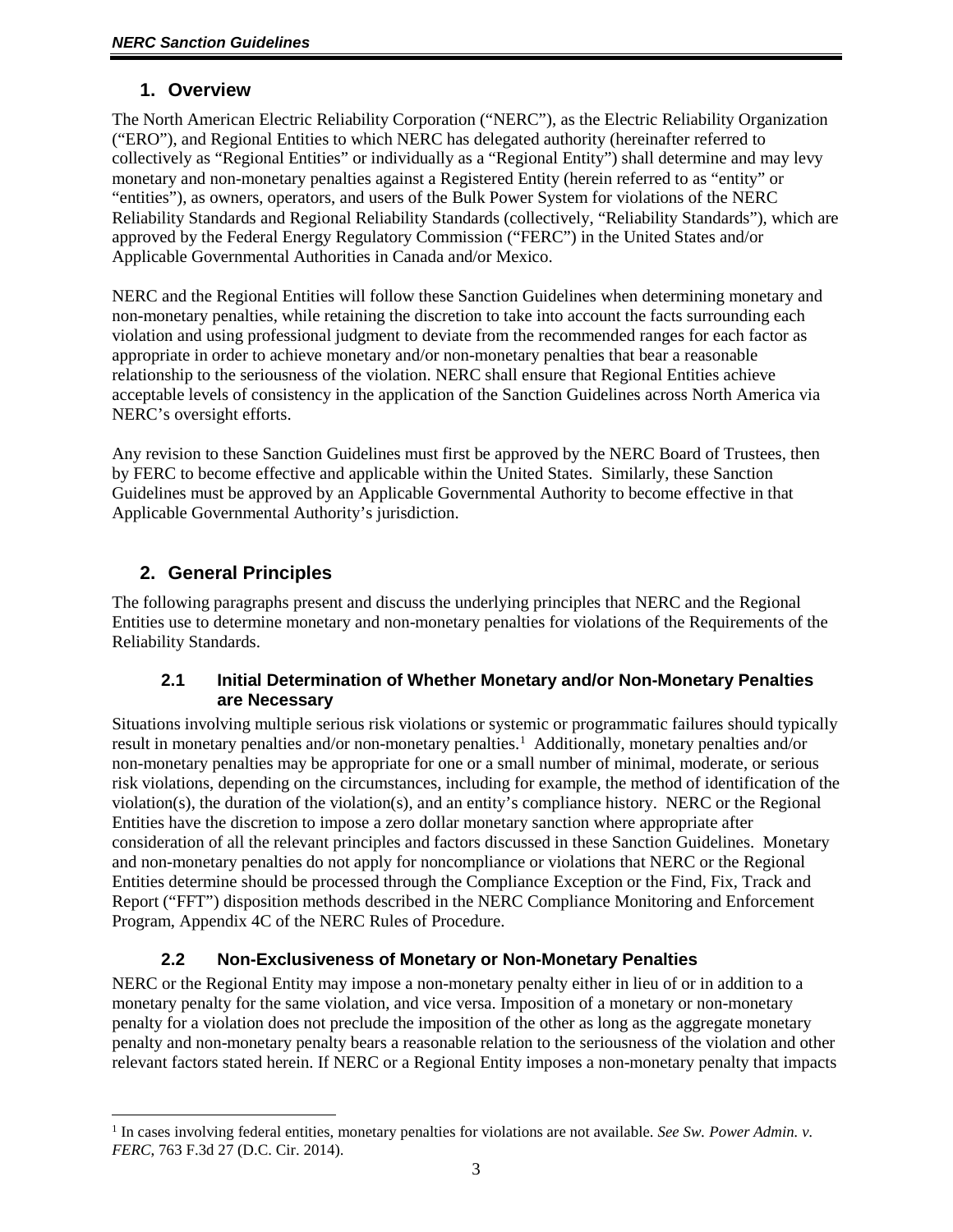## **1. Overview**

<span id="page-2-0"></span>The North American Electric Reliability Corporation ("NERC"), as the Electric Reliability Organization ("ERO"), and Regional Entities to which NERC has delegated authority (hereinafter referred to collectively as "Regional Entities" or individually as a "Regional Entity") shall determine and may levy monetary and non-monetary penalties against a Registered Entity (herein referred to as "entity" or "entities"), as owners, operators, and users of the Bulk Power System for violations of the NERC Reliability Standards and Regional Reliability Standards (collectively, "Reliability Standards"), which are approved by the Federal Energy Regulatory Commission ("FERC") in the United States and/or Applicable Governmental Authorities in Canada and/or Mexico.

NERC and the Regional Entities will follow these Sanction Guidelines when determining monetary and non-monetary penalties, while retaining the discretion to take into account the facts surrounding each violation and using professional judgment to deviate from the recommended ranges for each factor as appropriate in order to achieve monetary and/or non-monetary penalties that bear a reasonable relationship to the seriousness of the violation. NERC shall ensure that Regional Entities achieve acceptable levels of consistency in the application of the Sanction Guidelines across North America via NERC's oversight efforts.

Any revision to these Sanction Guidelines must first be approved by the NERC Board of Trustees, then by FERC to become effective and applicable within the United States. Similarly, these Sanction Guidelines must be approved by an Applicable Governmental Authority to become effective in that Applicable Governmental Authority's jurisdiction.

# <span id="page-2-1"></span>**2. General Principles**

The following paragraphs present and discuss the underlying principles that NERC and the Regional Entities use to determine monetary and non-monetary penalties for violations of the Requirements of the Reliability Standards.

#### <span id="page-2-2"></span>**2.1 Initial Determination of Whether Monetary and/or Non-Monetary Penalties are Necessary**

Situations involving multiple serious risk violations or systemic or programmatic failures should typically result in monetary penalties and/or non-monetary penalties.<sup>[1](#page-2-4)</sup> Additionally, monetary penalties and/or non-monetary penalties may be appropriate for one or a small number of minimal, moderate, or serious risk violations, depending on the circumstances, including for example, the method of identification of the violation(s), the duration of the violation(s), and an entity's compliance history. NERC or the Regional Entities have the discretion to impose a zero dollar monetary sanction where appropriate after consideration of all the relevant principles and factors discussed in these Sanction Guidelines. Monetary and non-monetary penalties do not apply for noncompliance or violations that NERC or the Regional Entities determine should be processed through the Compliance Exception or the Find, Fix, Track and Report ("FFT") disposition methods described in the NERC Compliance Monitoring and Enforcement Program, Appendix 4C of the NERC Rules of Procedure.

# **2.2 Non-Exclusiveness of Monetary or Non-Monetary Penalties**

<span id="page-2-3"></span>NERC or the Regional Entity may impose a non-monetary penalty either in lieu of or in addition to a monetary penalty for the same violation, and vice versa. Imposition of a monetary or non-monetary penalty for a violation does not preclude the imposition of the other as long as the aggregate monetary penalty and non-monetary penalty bears a reasonable relation to the seriousness of the violation and other relevant factors stated herein. If NERC or a Regional Entity imposes a non-monetary penalty that impacts

<span id="page-2-4"></span><sup>1</sup> In cases involving federal entities, monetary penalties for violations are not available. *See Sw. Power Admin. v. FERC*, 763 F.3d 27 (D.C. Cir. 2014).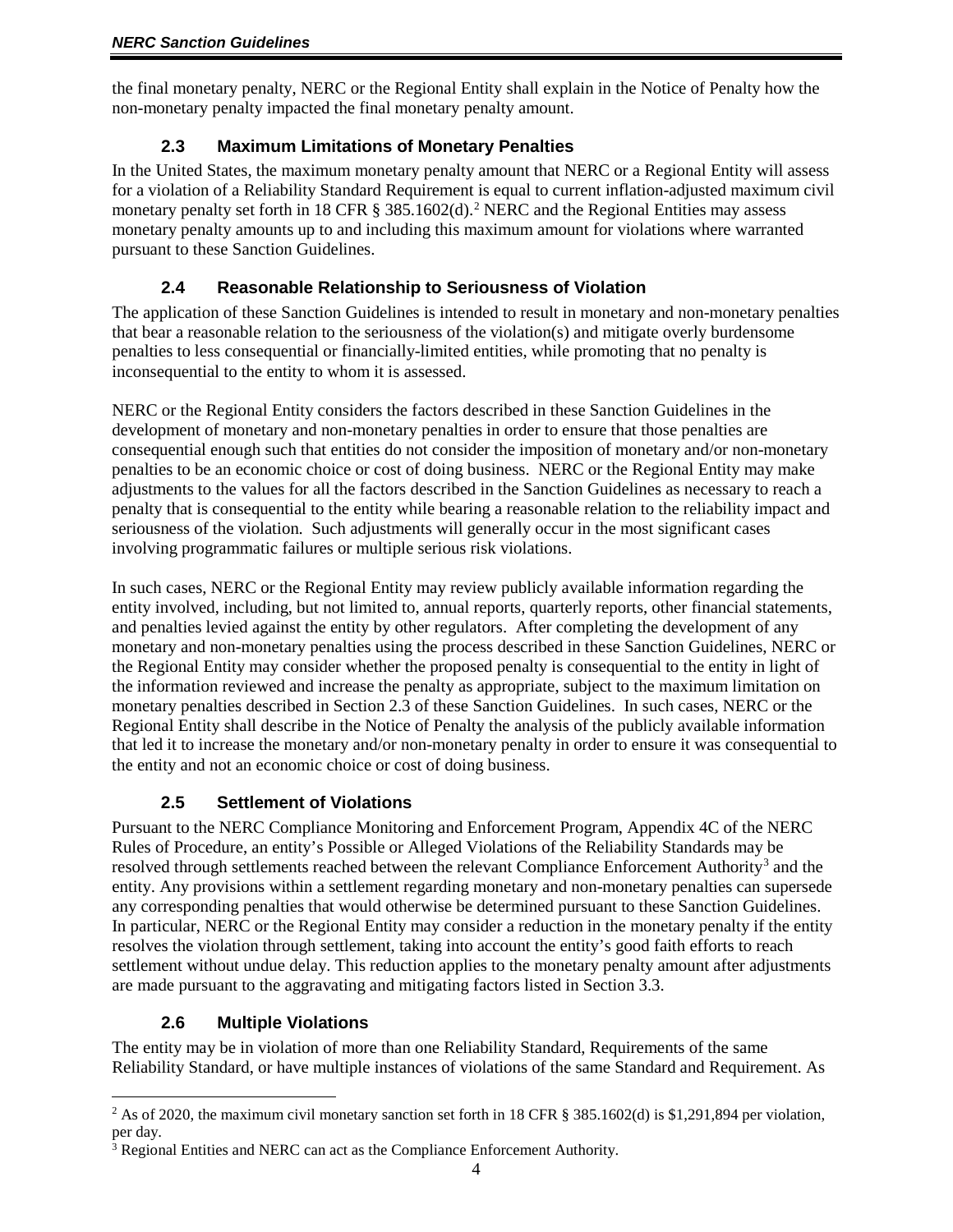<span id="page-3-0"></span>the final monetary penalty, NERC or the Regional Entity shall explain in the Notice of Penalty how the non-monetary penalty impacted the final monetary penalty amount.

## **2.3 Maximum Limitations of Monetary Penalties**

In the United States, the maximum monetary penalty amount that NERC or a Regional Entity will assess for a violation of a Reliability Standard Requirement is equal to current inflation-adjusted maximum civil monetary penalty set forth in 18 CFR § 385.160[2](#page-3-4)(d).<sup>2</sup> NERC and the Regional Entities may assess monetary penalty amounts up to and including this maximum amount for violations where warranted pursuant to these Sanction Guidelines.

# **2.4 Reasonable Relationship to Seriousness of Violation**

<span id="page-3-1"></span>The application of these Sanction Guidelines is intended to result in monetary and non-monetary penalties that bear a reasonable relation to the seriousness of the violation(s) and mitigate overly burdensome penalties to less consequential or financially-limited entities, while promoting that no penalty is inconsequential to the entity to whom it is assessed.

NERC or the Regional Entity considers the factors described in these Sanction Guidelines in the development of monetary and non-monetary penalties in order to ensure that those penalties are consequential enough such that entities do not consider the imposition of monetary and/or non-monetary penalties to be an economic choice or cost of doing business. NERC or the Regional Entity may make adjustments to the values for all the factors described in the Sanction Guidelines as necessary to reach a penalty that is consequential to the entity while bearing a reasonable relation to the reliability impact and seriousness of the violation. Such adjustments will generally occur in the most significant cases involving programmatic failures or multiple serious risk violations.

In such cases, NERC or the Regional Entity may review publicly available information regarding the entity involved, including, but not limited to, annual reports, quarterly reports, other financial statements, and penalties levied against the entity by other regulators. After completing the development of any monetary and non-monetary penalties using the process described in these Sanction Guidelines, NERC or the Regional Entity may consider whether the proposed penalty is consequential to the entity in light of the information reviewed and increase the penalty as appropriate, subject to the maximum limitation on monetary penalties described in Section 2.3 of these Sanction Guidelines. In such cases, NERC or the Regional Entity shall describe in the Notice of Penalty the analysis of the publicly available information that led it to increase the monetary and/or non-monetary penalty in order to ensure it was consequential to the entity and not an economic choice or cost of doing business.

## **2.5 Settlement of Violations**

<span id="page-3-2"></span>Pursuant to the NERC Compliance Monitoring and Enforcement Program, Appendix 4C of the NERC Rules of Procedure, an entity's Possible or Alleged Violations of the Reliability Standards may be resolved through settlements reached between the relevant Compliance Enforcement Authority<sup>[3](#page-3-5)</sup> and the entity. Any provisions within a settlement regarding monetary and non-monetary penalties can supersede any corresponding penalties that would otherwise be determined pursuant to these Sanction Guidelines. In particular, NERC or the Regional Entity may consider a reduction in the monetary penalty if the entity resolves the violation through settlement, taking into account the entity's good faith efforts to reach settlement without undue delay. This reduction applies to the monetary penalty amount after adjustments are made pursuant to the aggravating and mitigating factors listed in Section 3.3.

# **2.6 Multiple Violations**

<span id="page-3-3"></span>The entity may be in violation of more than one Reliability Standard, Requirements of the same Reliability Standard, or have multiple instances of violations of the same Standard and Requirement. As

<span id="page-3-4"></span><sup>&</sup>lt;sup>2</sup> As of 2020, the maximum civil monetary sanction set forth in 18 CFR § 385.1602(d) is \$1,291,894 per violation, per day.

<span id="page-3-5"></span><sup>3</sup> Regional Entities and NERC can act as the Compliance Enforcement Authority.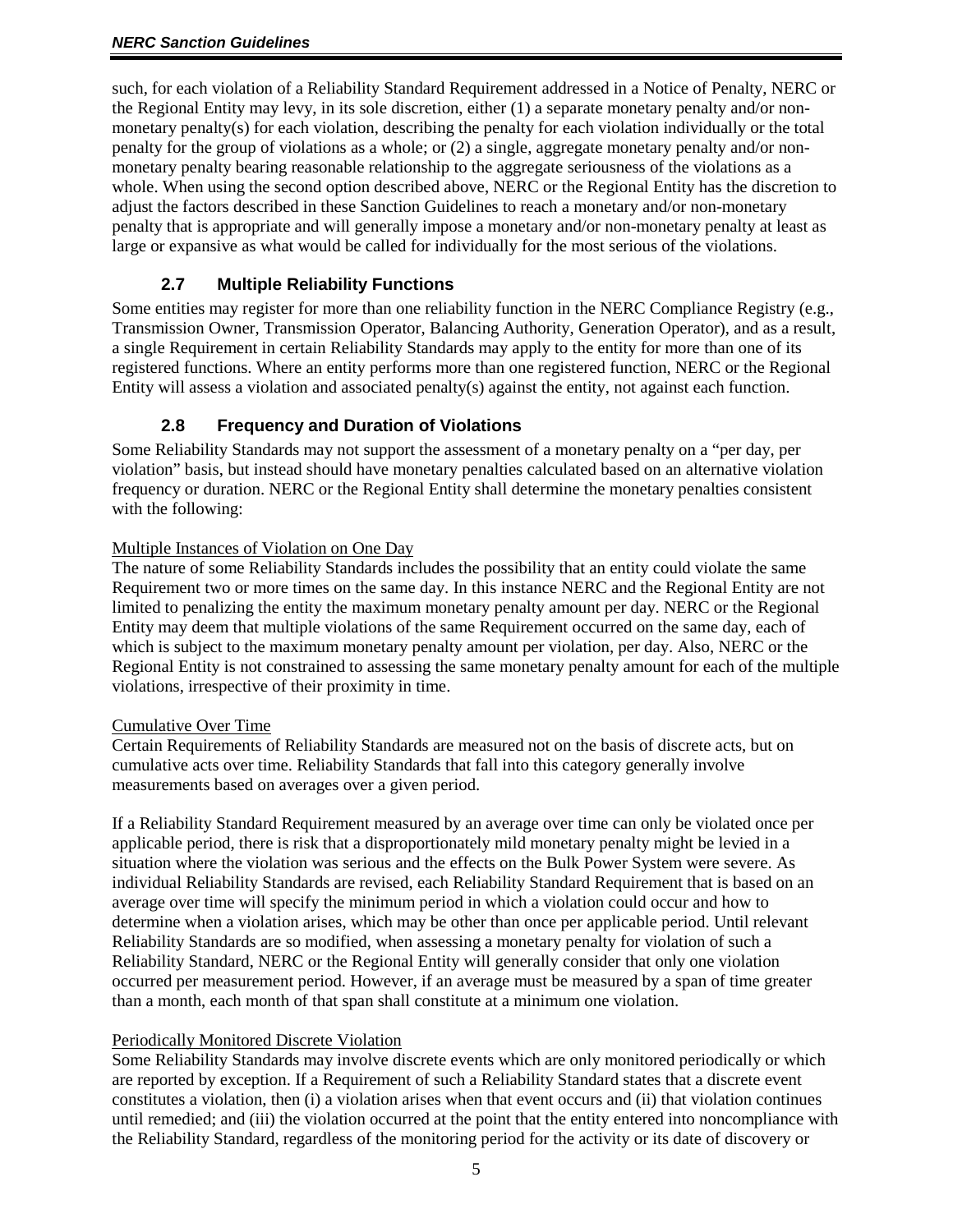such, for each violation of a Reliability Standard Requirement addressed in a Notice of Penalty, NERC or the Regional Entity may levy, in its sole discretion, either (1) a separate monetary penalty and/or nonmonetary penalty(s) for each violation, describing the penalty for each violation individually or the total penalty for the group of violations as a whole; or (2) a single, aggregate monetary penalty and/or nonmonetary penalty bearing reasonable relationship to the aggregate seriousness of the violations as a whole. When using the second option described above, NERC or the Regional Entity has the discretion to adjust the factors described in these Sanction Guidelines to reach a monetary and/or non-monetary penalty that is appropriate and will generally impose a monetary and/or non-monetary penalty at least as large or expansive as what would be called for individually for the most serious of the violations.

## **2.7 Multiple Reliability Functions**

<span id="page-4-0"></span>Some entities may register for more than one reliability function in the NERC Compliance Registry (e.g., Transmission Owner, Transmission Operator, Balancing Authority, Generation Operator), and as a result, a single Requirement in certain Reliability Standards may apply to the entity for more than one of its registered functions. Where an entity performs more than one registered function, NERC or the Regional Entity will assess a violation and associated penalty(s) against the entity, not against each function.

#### **2.8 Frequency and Duration of Violations**

<span id="page-4-1"></span>Some Reliability Standards may not support the assessment of a monetary penalty on a "per day, per violation" basis, but instead should have monetary penalties calculated based on an alternative violation frequency or duration. NERC or the Regional Entity shall determine the monetary penalties consistent with the following:

#### Multiple Instances of Violation on One Day

The nature of some Reliability Standards includes the possibility that an entity could violate the same Requirement two or more times on the same day. In this instance NERC and the Regional Entity are not limited to penalizing the entity the maximum monetary penalty amount per day. NERC or the Regional Entity may deem that multiple violations of the same Requirement occurred on the same day, each of which is subject to the maximum monetary penalty amount per violation, per day. Also, NERC or the Regional Entity is not constrained to assessing the same monetary penalty amount for each of the multiple violations, irrespective of their proximity in time.

#### Cumulative Over Time

Certain Requirements of Reliability Standards are measured not on the basis of discrete acts, but on cumulative acts over time. Reliability Standards that fall into this category generally involve measurements based on averages over a given period.

If a Reliability Standard Requirement measured by an average over time can only be violated once per applicable period, there is risk that a disproportionately mild monetary penalty might be levied in a situation where the violation was serious and the effects on the Bulk Power System were severe. As individual Reliability Standards are revised, each Reliability Standard Requirement that is based on an average over time will specify the minimum period in which a violation could occur and how to determine when a violation arises, which may be other than once per applicable period. Until relevant Reliability Standards are so modified, when assessing a monetary penalty for violation of such a Reliability Standard, NERC or the Regional Entity will generally consider that only one violation occurred per measurement period. However, if an average must be measured by a span of time greater than a month, each month of that span shall constitute at a minimum one violation.

#### Periodically Monitored Discrete Violation

Some Reliability Standards may involve discrete events which are only monitored periodically or which are reported by exception. If a Requirement of such a Reliability Standard states that a discrete event constitutes a violation, then (i) a violation arises when that event occurs and (ii) that violation continues until remedied; and (iii) the violation occurred at the point that the entity entered into noncompliance with the Reliability Standard, regardless of the monitoring period for the activity or its date of discovery or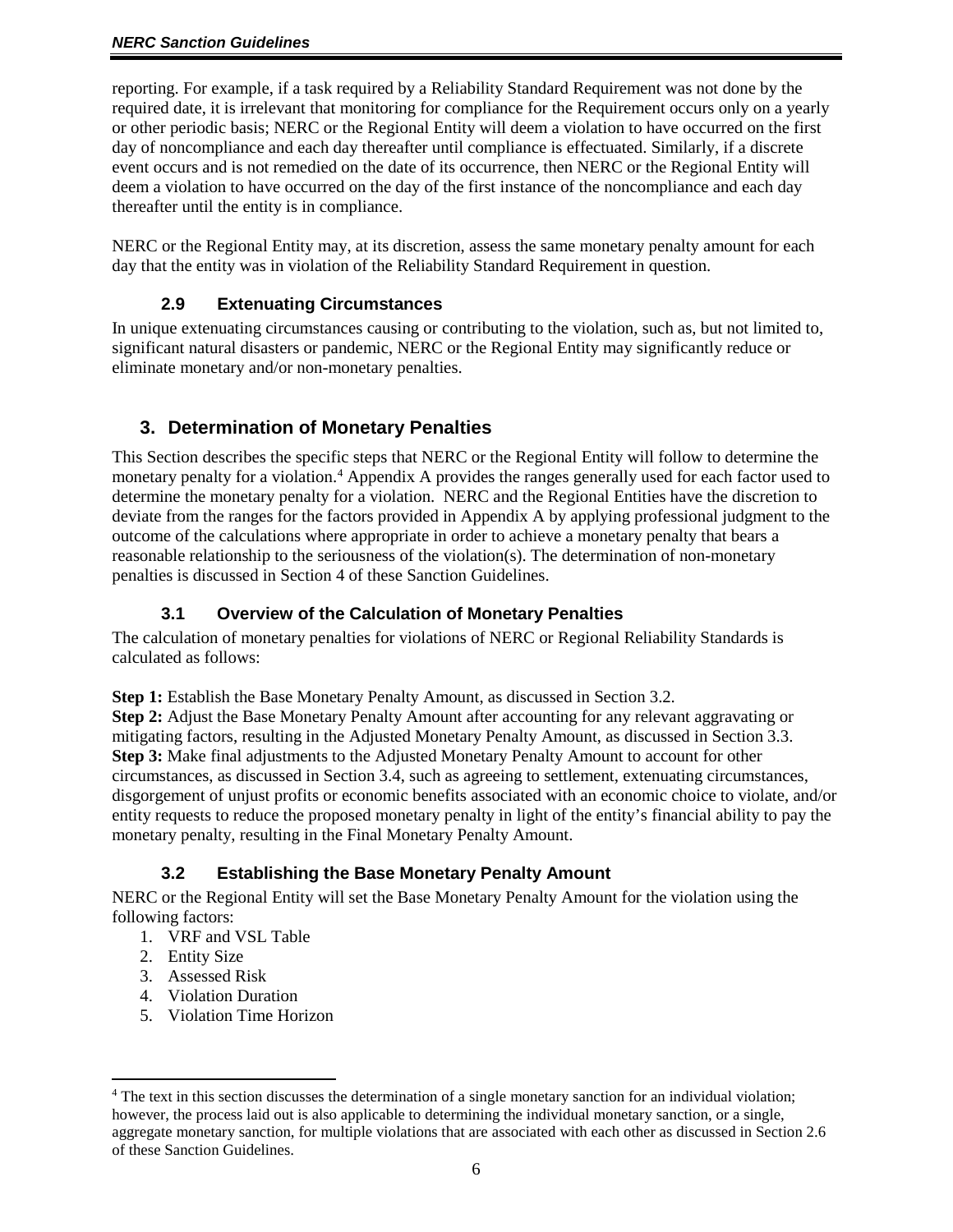reporting. For example, if a task required by a Reliability Standard Requirement was not done by the required date, it is irrelevant that monitoring for compliance for the Requirement occurs only on a yearly or other periodic basis; NERC or the Regional Entity will deem a violation to have occurred on the first day of noncompliance and each day thereafter until compliance is effectuated. Similarly, if a discrete event occurs and is not remedied on the date of its occurrence, then NERC or the Regional Entity will deem a violation to have occurred on the day of the first instance of the noncompliance and each day thereafter until the entity is in compliance.

<span id="page-5-0"></span>NERC or the Regional Entity may, at its discretion, assess the same monetary penalty amount for each day that the entity was in violation of the Reliability Standard Requirement in question.

#### **2.9 Extenuating Circumstances**

In unique extenuating circumstances causing or contributing to the violation, such as, but not limited to, significant natural disasters or pandemic, NERC or the Regional Entity may significantly reduce or eliminate monetary and/or non-monetary penalties.

# **3. Determination of Monetary Penalties**

<span id="page-5-1"></span>This Section describes the specific steps that NERC or the Regional Entity will follow to determine the monetary penalty for a violation.<sup>[4](#page-5-4)</sup> Appendix A provides the ranges generally used for each factor used to determine the monetary penalty for a violation. NERC and the Regional Entities have the discretion to deviate from the ranges for the factors provided in Appendix A by applying professional judgment to the outcome of the calculations where appropriate in order to achieve a monetary penalty that bears a reasonable relationship to the seriousness of the violation(s). The determination of non-monetary penalties is discussed in Section 4 of these Sanction Guidelines.

#### <span id="page-5-2"></span>**3.1 Overview of the Calculation of Monetary Penalties**

The calculation of monetary penalties for violations of NERC or Regional Reliability Standards is calculated as follows:

**Step 1:** Establish the Base Monetary Penalty Amount, as discussed in Section 3.2.

**Step 2:** Adjust the Base Monetary Penalty Amount after accounting for any relevant aggravating or mitigating factors, resulting in the Adjusted Monetary Penalty Amount, as discussed in Section 3.3. **Step 3:** Make final adjustments to the Adjusted Monetary Penalty Amount to account for other circumstances, as discussed in Section 3.4, such as agreeing to settlement, extenuating circumstances, disgorgement of unjust profits or economic benefits associated with an economic choice to violate, and/or entity requests to reduce the proposed monetary penalty in light of the entity's financial ability to pay the monetary penalty, resulting in the Final Monetary Penalty Amount.

## **3.2 Establishing the Base Monetary Penalty Amount**

<span id="page-5-3"></span>NERC or the Regional Entity will set the Base Monetary Penalty Amount for the violation using the following factors:

- 1. VRF and VSL Table
- 2. Entity Size
- 3. Assessed Risk
- 4. Violation Duration
- 5. Violation Time Horizon

<span id="page-5-4"></span><sup>&</sup>lt;sup>4</sup> The text in this section discusses the determination of a single monetary sanction for an individual violation; however, the process laid out is also applicable to determining the individual monetary sanction, or a single, aggregate monetary sanction, for multiple violations that are associated with each other as discussed in Section 2.6 of these Sanction Guidelines.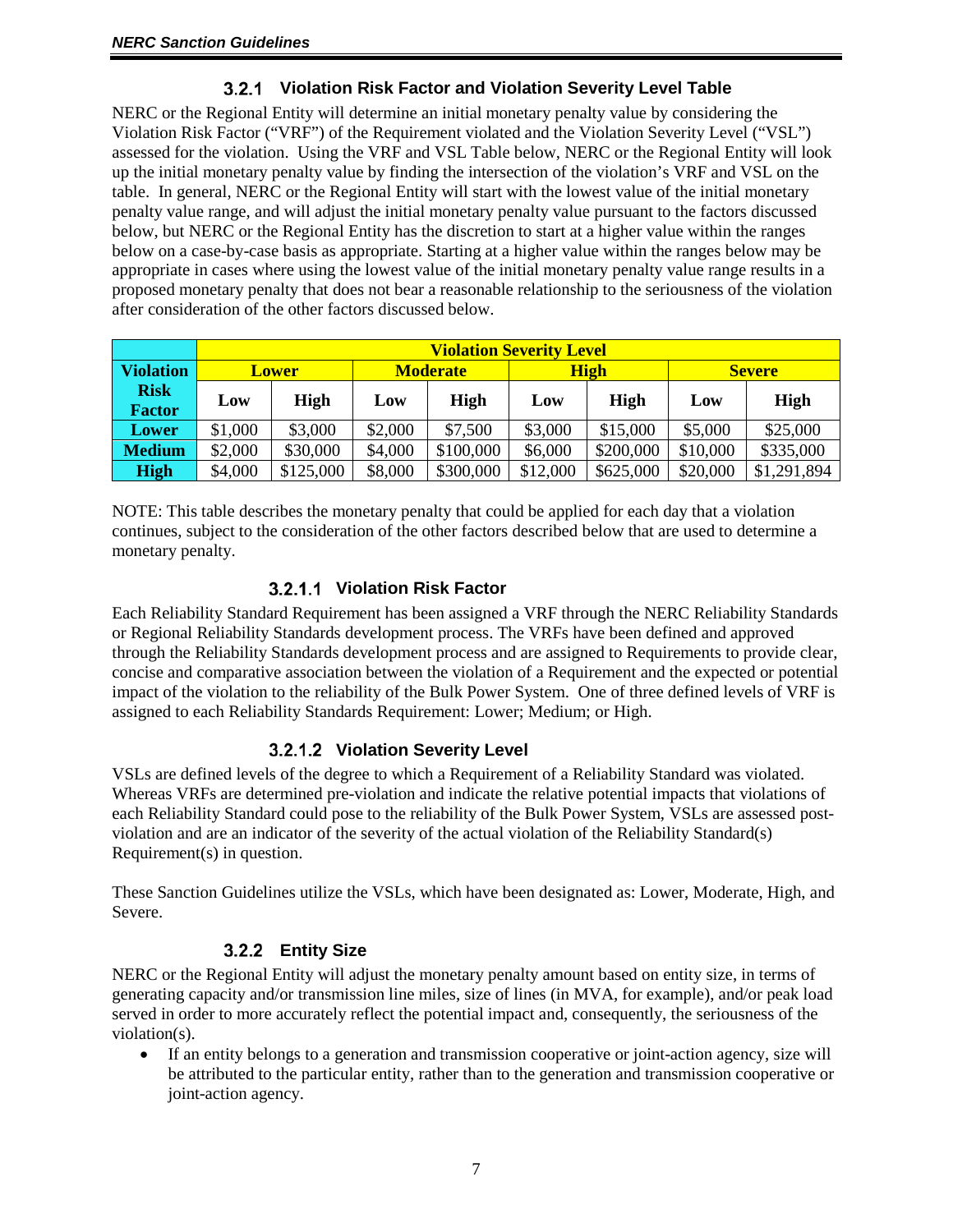## **Violation Risk Factor and Violation Severity Level Table**

<span id="page-6-0"></span>NERC or the Regional Entity will determine an initial monetary penalty value by considering the Violation Risk Factor ("VRF") of the Requirement violated and the Violation Severity Level ("VSL") assessed for the violation. Using the VRF and VSL Table below, NERC or the Regional Entity will look up the initial monetary penalty value by finding the intersection of the violation's VRF and VSL on the table. In general, NERC or the Regional Entity will start with the lowest value of the initial monetary penalty value range, and will adjust the initial monetary penalty value pursuant to the factors discussed below, but NERC or the Regional Entity has the discretion to start at a higher value within the ranges below on a case-by-case basis as appropriate. Starting at a higher value within the ranges below may be appropriate in cases where using the lowest value of the initial monetary penalty value range results in a proposed monetary penalty that does not bear a reasonable relationship to the seriousness of the violation after consideration of the other factors discussed below.

|                              | <b>Violation Severity Level</b> |             |                 |             |             |             |               |             |
|------------------------------|---------------------------------|-------------|-----------------|-------------|-------------|-------------|---------------|-------------|
| <b>Violation</b>             | <b>Lower</b>                    |             | <b>Moderate</b> |             | <b>High</b> |             | <b>Severe</b> |             |
| <b>Risk</b><br><b>Factor</b> | Low                             | <b>High</b> | Low             | <b>High</b> | Low         | <b>High</b> | Low           | <b>High</b> |
| Lower                        | \$1,000                         | \$3,000     | \$2,000         | \$7,500     | \$3,000     | \$15,000    | \$5,000       | \$25,000    |
| <b>Medium</b>                | \$2,000                         | \$30,000    | \$4,000         | \$100,000   | \$6,000     | \$200,000   | \$10,000      | \$335,000   |
| <b>High</b>                  | \$4,000                         | \$125,000   | \$8,000         | \$300,000   | \$12,000    | \$625,000   | \$20,000      | \$1,291,894 |

NOTE: This table describes the monetary penalty that could be applied for each day that a violation continues, subject to the consideration of the other factors described below that are used to determine a monetary penalty.

## **Violation Risk Factor**

Each Reliability Standard Requirement has been assigned a VRF through the NERC Reliability Standards or Regional Reliability Standards development process. The VRFs have been defined and approved through the Reliability Standards development process and are assigned to Requirements to provide clear, concise and comparative association between the violation of a Requirement and the expected or potential impact of the violation to the reliability of the Bulk Power System. One of three defined levels of VRF is assigned to each Reliability Standards Requirement: Lower; Medium; or High.

# **Violation Severity Level**

VSLs are defined levels of the degree to which a Requirement of a Reliability Standard was violated. Whereas VRFs are determined pre-violation and indicate the relative potential impacts that violations of each Reliability Standard could pose to the reliability of the Bulk Power System, VSLs are assessed postviolation and are an indicator of the severity of the actual violation of the Reliability Standard(s) Requirement(s) in question.

<span id="page-6-1"></span>These Sanction Guidelines utilize the VSLs, which have been designated as: Lower, Moderate, High, and Severe.

# **Entity Size**

NERC or the Regional Entity will adjust the monetary penalty amount based on entity size, in terms of generating capacity and/or transmission line miles, size of lines (in MVA, for example), and/or peak load served in order to more accurately reflect the potential impact and, consequently, the seriousness of the violation(s).

• If an entity belongs to a generation and transmission cooperative or joint-action agency, size will be attributed to the particular entity, rather than to the generation and transmission cooperative or joint-action agency.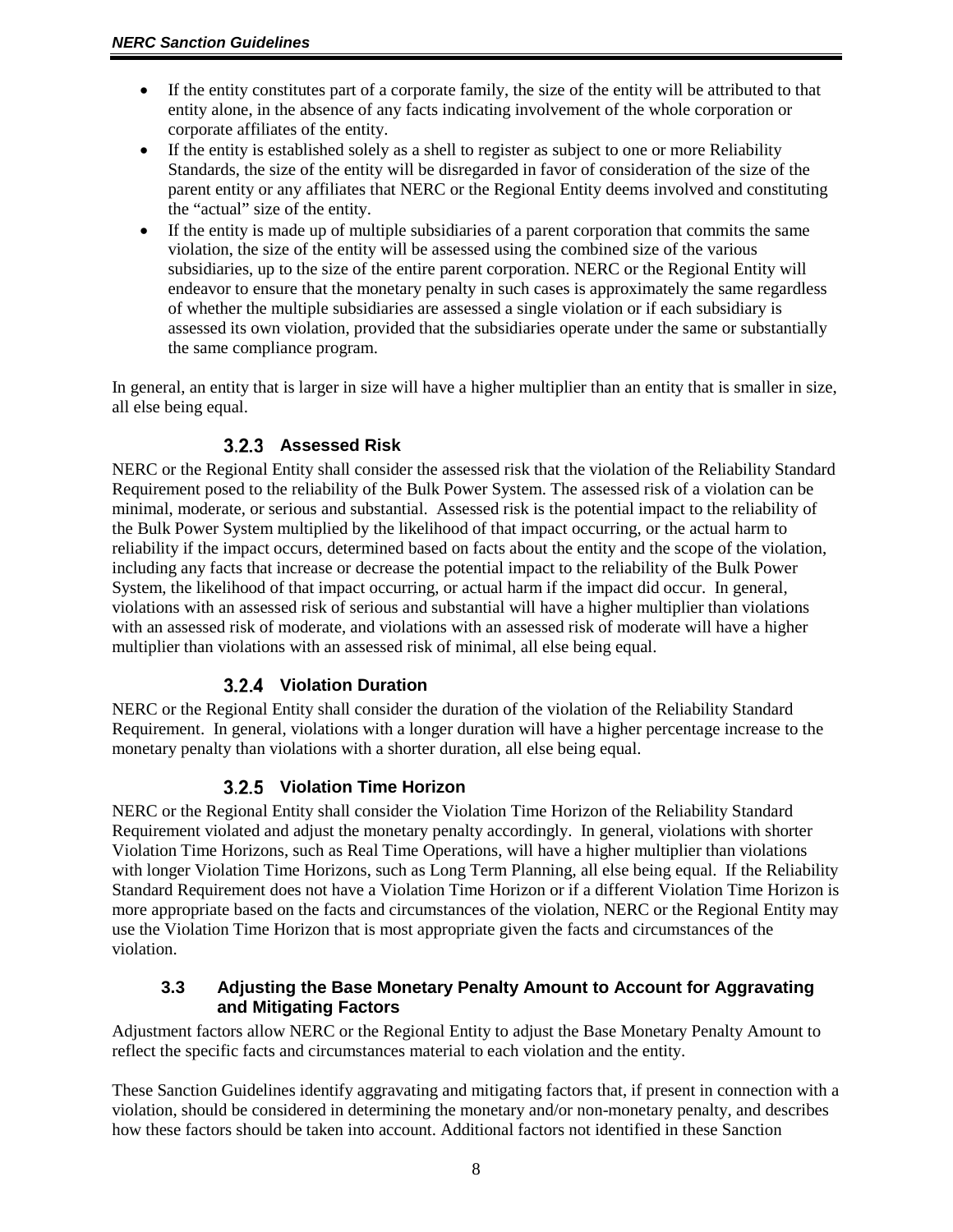- If the entity constitutes part of a corporate family, the size of the entity will be attributed to that entity alone, in the absence of any facts indicating involvement of the whole corporation or corporate affiliates of the entity.
- If the entity is established solely as a shell to register as subject to one or more Reliability Standards, the size of the entity will be disregarded in favor of consideration of the size of the parent entity or any affiliates that NERC or the Regional Entity deems involved and constituting the "actual" size of the entity.
- If the entity is made up of multiple subsidiaries of a parent corporation that commits the same violation, the size of the entity will be assessed using the combined size of the various subsidiaries, up to the size of the entire parent corporation. NERC or the Regional Entity will endeavor to ensure that the monetary penalty in such cases is approximately the same regardless of whether the multiple subsidiaries are assessed a single violation or if each subsidiary is assessed its own violation, provided that the subsidiaries operate under the same or substantially the same compliance program.

<span id="page-7-0"></span>In general, an entity that is larger in size will have a higher multiplier than an entity that is smaller in size, all else being equal.

## **Assessed Risk**

NERC or the Regional Entity shall consider the assessed risk that the violation of the Reliability Standard Requirement posed to the reliability of the Bulk Power System. The assessed risk of a violation can be minimal, moderate, or serious and substantial. Assessed risk is the potential impact to the reliability of the Bulk Power System multiplied by the likelihood of that impact occurring, or the actual harm to reliability if the impact occurs, determined based on facts about the entity and the scope of the violation, including any facts that increase or decrease the potential impact to the reliability of the Bulk Power System, the likelihood of that impact occurring, or actual harm if the impact did occur. In general, violations with an assessed risk of serious and substantial will have a higher multiplier than violations with an assessed risk of moderate, and violations with an assessed risk of moderate will have a higher multiplier than violations with an assessed risk of minimal, all else being equal.

## **Violation Duration**

<span id="page-7-1"></span>NERC or the Regional Entity shall consider the duration of the violation of the Reliability Standard Requirement. In general, violations with a longer duration will have a higher percentage increase to the monetary penalty than violations with a shorter duration, all else being equal.

## **Violation Time Horizon**

<span id="page-7-2"></span>NERC or the Regional Entity shall consider the Violation Time Horizon of the Reliability Standard Requirement violated and adjust the monetary penalty accordingly. In general, violations with shorter Violation Time Horizons, such as Real Time Operations, will have a higher multiplier than violations with longer Violation Time Horizons, such as Long Term Planning, all else being equal. If the Reliability Standard Requirement does not have a Violation Time Horizon or if a different Violation Time Horizon is more appropriate based on the facts and circumstances of the violation, NERC or the Regional Entity may use the Violation Time Horizon that is most appropriate given the facts and circumstances of the violation.

#### <span id="page-7-3"></span>**3.3 Adjusting the Base Monetary Penalty Amount to Account for Aggravating and Mitigating Factors**

Adjustment factors allow NERC or the Regional Entity to adjust the Base Monetary Penalty Amount to reflect the specific facts and circumstances material to each violation and the entity.

These Sanction Guidelines identify aggravating and mitigating factors that, if present in connection with a violation, should be considered in determining the monetary and/or non-monetary penalty, and describes how these factors should be taken into account. Additional factors not identified in these Sanction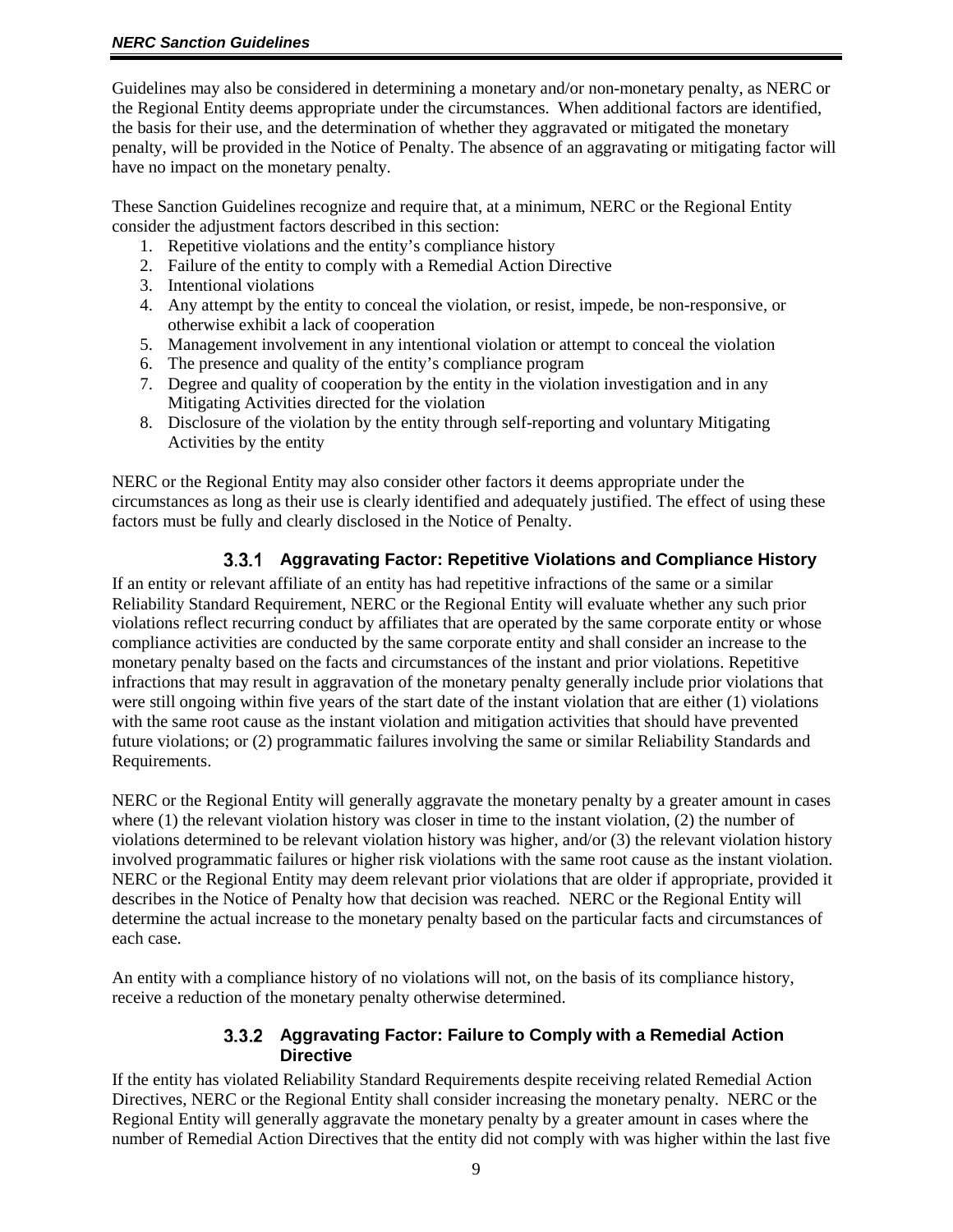Guidelines may also be considered in determining a monetary and/or non-monetary penalty, as NERC or the Regional Entity deems appropriate under the circumstances. When additional factors are identified, the basis for their use, and the determination of whether they aggravated or mitigated the monetary penalty, will be provided in the Notice of Penalty. The absence of an aggravating or mitigating factor will have no impact on the monetary penalty.

These Sanction Guidelines recognize and require that, at a minimum, NERC or the Regional Entity consider the adjustment factors described in this section:

- 1. Repetitive violations and the entity's compliance history
- 2. Failure of the entity to comply with a Remedial Action Directive
- 3. Intentional violations
- 4. Any attempt by the entity to conceal the violation, or resist, impede, be non-responsive, or otherwise exhibit a lack of cooperation
- 5. Management involvement in any intentional violation or attempt to conceal the violation
- 6. The presence and quality of the entity's compliance program
- 7. Degree and quality of cooperation by the entity in the violation investigation and in any Mitigating Activities directed for the violation
- 8. Disclosure of the violation by the entity through self-reporting and voluntary Mitigating Activities by the entity

NERC or the Regional Entity may also consider other factors it deems appropriate under the circumstances as long as their use is clearly identified and adequately justified. The effect of using these factors must be fully and clearly disclosed in the Notice of Penalty.

## **Aggravating Factor: Repetitive Violations and Compliance History**

<span id="page-8-0"></span>If an entity or relevant affiliate of an entity has had repetitive infractions of the same or a similar Reliability Standard Requirement, NERC or the Regional Entity will evaluate whether any such prior violations reflect recurring conduct by affiliates that are operated by the same corporate entity or whose compliance activities are conducted by the same corporate entity and shall consider an increase to the monetary penalty based on the facts and circumstances of the instant and prior violations. Repetitive infractions that may result in aggravation of the monetary penalty generally include prior violations that were still ongoing within five years of the start date of the instant violation that are either (1) violations with the same root cause as the instant violation and mitigation activities that should have prevented future violations; or (2) programmatic failures involving the same or similar Reliability Standards and Requirements.

NERC or the Regional Entity will generally aggravate the monetary penalty by a greater amount in cases where (1) the relevant violation history was closer in time to the instant violation, (2) the number of violations determined to be relevant violation history was higher, and/or (3) the relevant violation history involved programmatic failures or higher risk violations with the same root cause as the instant violation. NERC or the Regional Entity may deem relevant prior violations that are older if appropriate, provided it describes in the Notice of Penalty how that decision was reached. NERC or the Regional Entity will determine the actual increase to the monetary penalty based on the particular facts and circumstances of each case.

<span id="page-8-1"></span>An entity with a compliance history of no violations will not, on the basis of its compliance history, receive a reduction of the monetary penalty otherwise determined.

#### **Aggravating Factor: Failure to Comply with a Remedial Action Directive**

If the entity has violated Reliability Standard Requirements despite receiving related Remedial Action Directives, NERC or the Regional Entity shall consider increasing the monetary penalty. NERC or the Regional Entity will generally aggravate the monetary penalty by a greater amount in cases where the number of Remedial Action Directives that the entity did not comply with was higher within the last five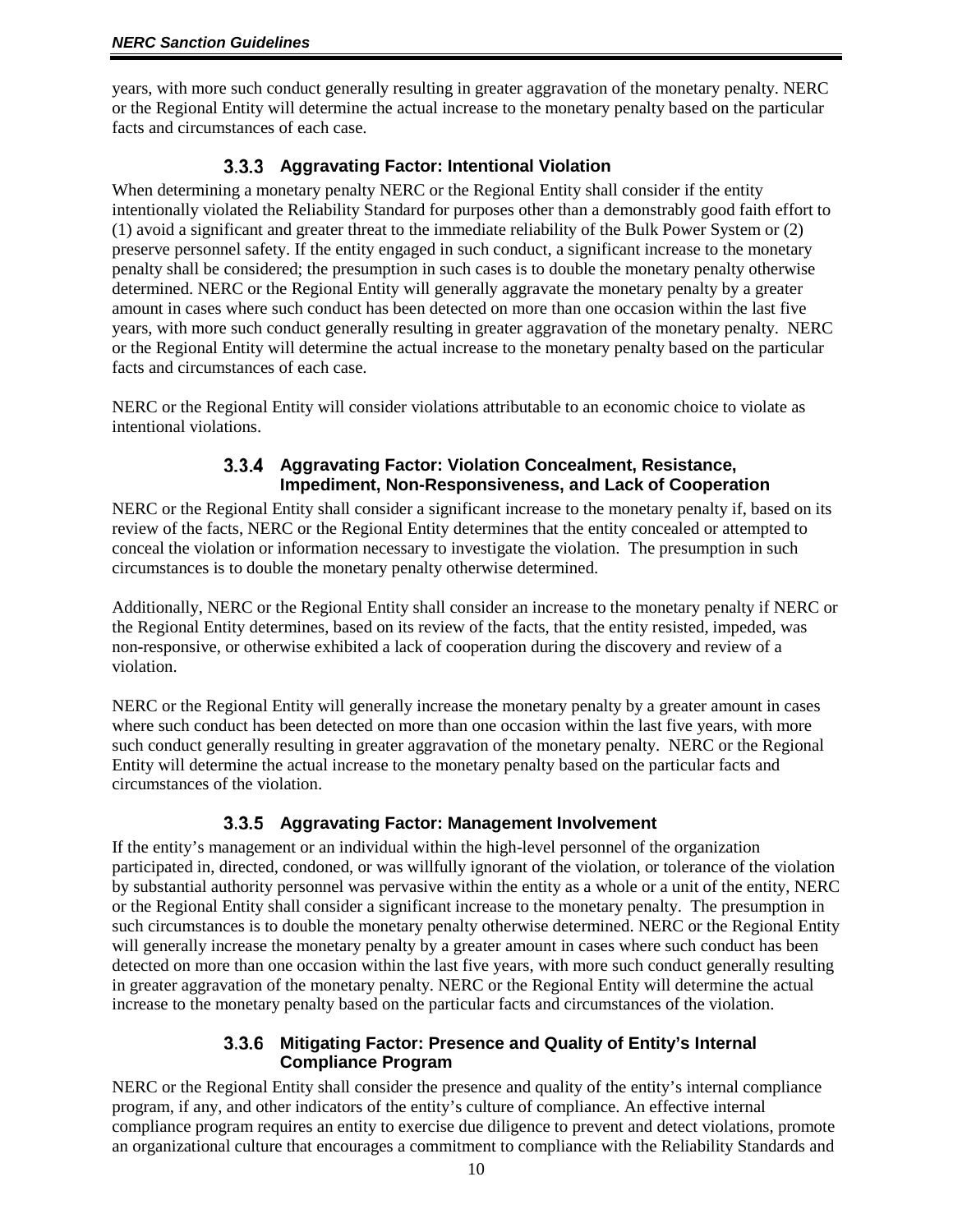years, with more such conduct generally resulting in greater aggravation of the monetary penalty. NERC or the Regional Entity will determine the actual increase to the monetary penalty based on the particular facts and circumstances of each case.

## **Aggravating Factor: Intentional Violation**

<span id="page-9-0"></span>When determining a monetary penalty NERC or the Regional Entity shall consider if the entity intentionally violated the Reliability Standard for purposes other than a demonstrably good faith effort to (1) avoid a significant and greater threat to the immediate reliability of the Bulk Power System or (2) preserve personnel safety. If the entity engaged in such conduct, a significant increase to the monetary penalty shall be considered; the presumption in such cases is to double the monetary penalty otherwise determined. NERC or the Regional Entity will generally aggravate the monetary penalty by a greater amount in cases where such conduct has been detected on more than one occasion within the last five years, with more such conduct generally resulting in greater aggravation of the monetary penalty. NERC or the Regional Entity will determine the actual increase to the monetary penalty based on the particular facts and circumstances of each case.

<span id="page-9-1"></span>NERC or the Regional Entity will consider violations attributable to an economic choice to violate as intentional violations.

#### **Aggravating Factor: Violation Concealment, Resistance, Impediment, Non-Responsiveness, and Lack of Cooperation**

NERC or the Regional Entity shall consider a significant increase to the monetary penalty if, based on its review of the facts, NERC or the Regional Entity determines that the entity concealed or attempted to conceal the violation or information necessary to investigate the violation. The presumption in such circumstances is to double the monetary penalty otherwise determined.

Additionally, NERC or the Regional Entity shall consider an increase to the monetary penalty if NERC or the Regional Entity determines, based on its review of the facts, that the entity resisted, impeded, was non-responsive, or otherwise exhibited a lack of cooperation during the discovery and review of a violation.

NERC or the Regional Entity will generally increase the monetary penalty by a greater amount in cases where such conduct has been detected on more than one occasion within the last five years, with more such conduct generally resulting in greater aggravation of the monetary penalty. NERC or the Regional Entity will determine the actual increase to the monetary penalty based on the particular facts and circumstances of the violation.

#### **Aggravating Factor: Management Involvement**

<span id="page-9-2"></span>If the entity's management or an individual within the high-level personnel of the organization participated in, directed, condoned, or was willfully ignorant of the violation, or tolerance of the violation by substantial authority personnel was pervasive within the entity as a whole or a unit of the entity, NERC or the Regional Entity shall consider a significant increase to the monetary penalty. The presumption in such circumstances is to double the monetary penalty otherwise determined. NERC or the Regional Entity will generally increase the monetary penalty by a greater amount in cases where such conduct has been detected on more than one occasion within the last five years, with more such conduct generally resulting in greater aggravation of the monetary penalty. NERC or the Regional Entity will determine the actual increase to the monetary penalty based on the particular facts and circumstances of the violation.

#### **Mitigating Factor: Presence and Quality of Entity's Internal Compliance Program**

<span id="page-9-3"></span>NERC or the Regional Entity shall consider the presence and quality of the entity's internal compliance program, if any, and other indicators of the entity's culture of compliance. An effective internal compliance program requires an entity to exercise due diligence to prevent and detect violations, promote an organizational culture that encourages a commitment to compliance with the Reliability Standards and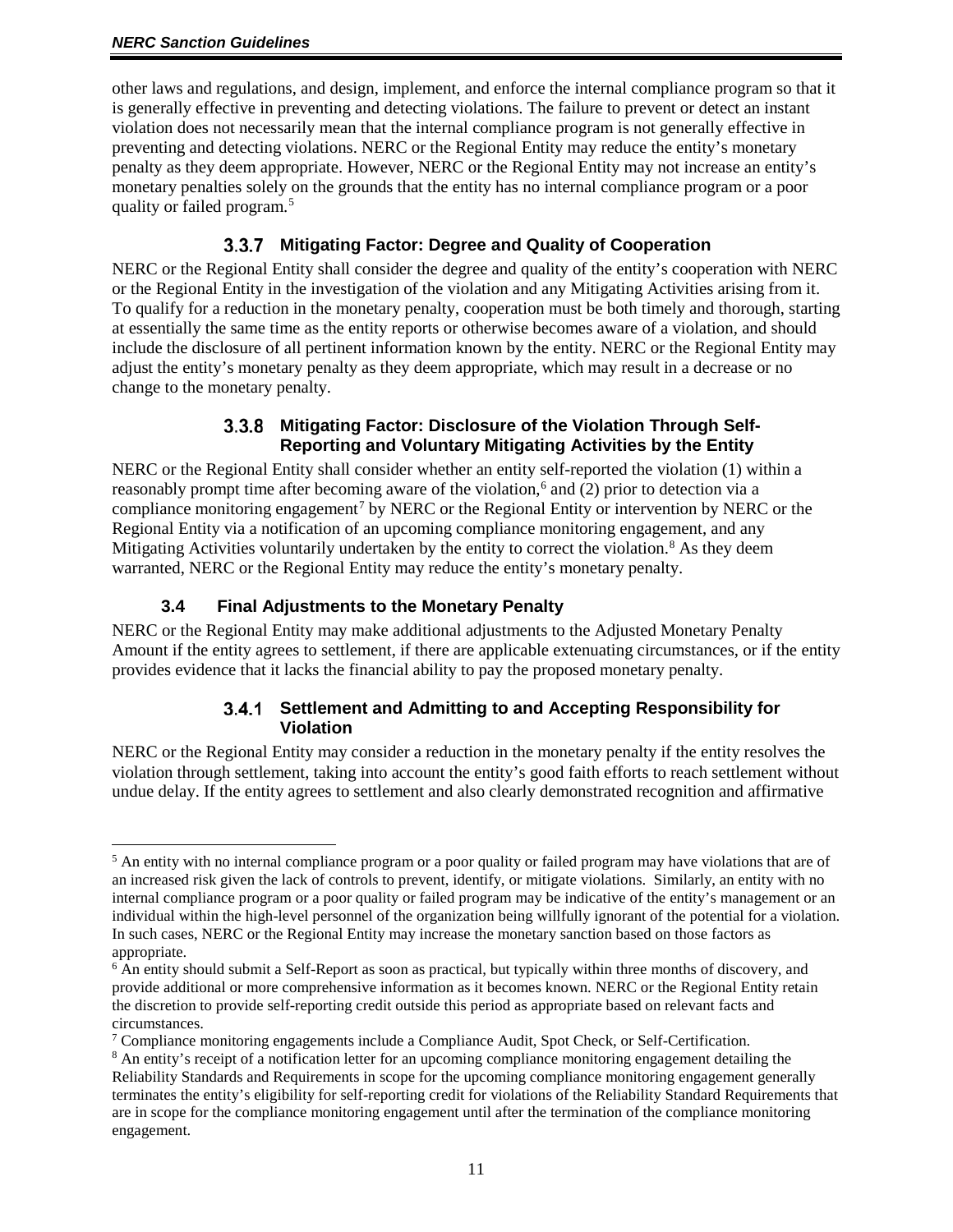other laws and regulations, and design, implement, and enforce the internal compliance program so that it is generally effective in preventing and detecting violations. The failure to prevent or detect an instant violation does not necessarily mean that the internal compliance program is not generally effective in preventing and detecting violations. NERC or the Regional Entity may reduce the entity's monetary penalty as they deem appropriate. However, NERC or the Regional Entity may not increase an entity's monetary penalties solely on the grounds that the entity has no internal compliance program or a poor quality or failed program.[5](#page-10-4)

## **Mitigating Factor: Degree and Quality of Cooperation**

<span id="page-10-0"></span>NERC or the Regional Entity shall consider the degree and quality of the entity's cooperation with NERC or the Regional Entity in the investigation of the violation and any Mitigating Activities arising from it. To qualify for a reduction in the monetary penalty, cooperation must be both timely and thorough, starting at essentially the same time as the entity reports or otherwise becomes aware of a violation, and should include the disclosure of all pertinent information known by the entity. NERC or the Regional Entity may adjust the entity's monetary penalty as they deem appropriate, which may result in a decrease or no change to the monetary penalty.

#### **Mitigating Factor: Disclosure of the Violation Through Self-Reporting and Voluntary Mitigating Activities by the Entity**

<span id="page-10-1"></span>NERC or the Regional Entity shall consider whether an entity self-reported the violation (1) within a reasonably prompt time after becoming aware of the violation,<sup>[6](#page-10-5)</sup> and (2) prior to detection via a compliance monitoring engagement<sup>[7](#page-10-6)</sup> by NERC or the Regional Entity or intervention by NERC or the Regional Entity via a notification of an upcoming compliance monitoring engagement, and any Mitigating Activities voluntarily undertaken by the entity to correct the violation.<sup>[8](#page-10-7)</sup> As they deem warranted, NERC or the Regional Entity may reduce the entity's monetary penalty.

## **3.4 Final Adjustments to the Monetary Penalty**

<span id="page-10-3"></span><span id="page-10-2"></span>NERC or the Regional Entity may make additional adjustments to the Adjusted Monetary Penalty Amount if the entity agrees to settlement, if there are applicable extenuating circumstances, or if the entity provides evidence that it lacks the financial ability to pay the proposed monetary penalty.

#### **Settlement and Admitting to and Accepting Responsibility for Violation**

NERC or the Regional Entity may consider a reduction in the monetary penalty if the entity resolves the violation through settlement, taking into account the entity's good faith efforts to reach settlement without undue delay. If the entity agrees to settlement and also clearly demonstrated recognition and affirmative

<span id="page-10-4"></span> $<sup>5</sup>$  An entity with no internal compliance program or a poor quality or failed program may have violations that are of</sup> an increased risk given the lack of controls to prevent, identify, or mitigate violations. Similarly, an entity with no internal compliance program or a poor quality or failed program may be indicative of the entity's management or an individual within the high-level personnel of the organization being willfully ignorant of the potential for a violation. In such cases, NERC or the Regional Entity may increase the monetary sanction based on those factors as appropriate.

<span id="page-10-5"></span><sup>&</sup>lt;sup>6</sup> An entity should submit a Self-Report as soon as practical, but typically within three months of discovery, and provide additional or more comprehensive information as it becomes known. NERC or the Regional Entity retain the discretion to provide self-reporting credit outside this period as appropriate based on relevant facts and circumstances.

<span id="page-10-6"></span> $\frac{7}{7}$  Compliance monitoring engagements include a Compliance Audit, Spot Check, or Self-Certification.

<span id="page-10-7"></span><sup>&</sup>lt;sup>8</sup> An entity's receipt of a notification letter for an upcoming compliance monitoring engagement detailing the Reliability Standards and Requirements in scope for the upcoming compliance monitoring engagement generally terminates the entity's eligibility for self-reporting credit for violations of the Reliability Standard Requirements that are in scope for the compliance monitoring engagement until after the termination of the compliance monitoring engagement.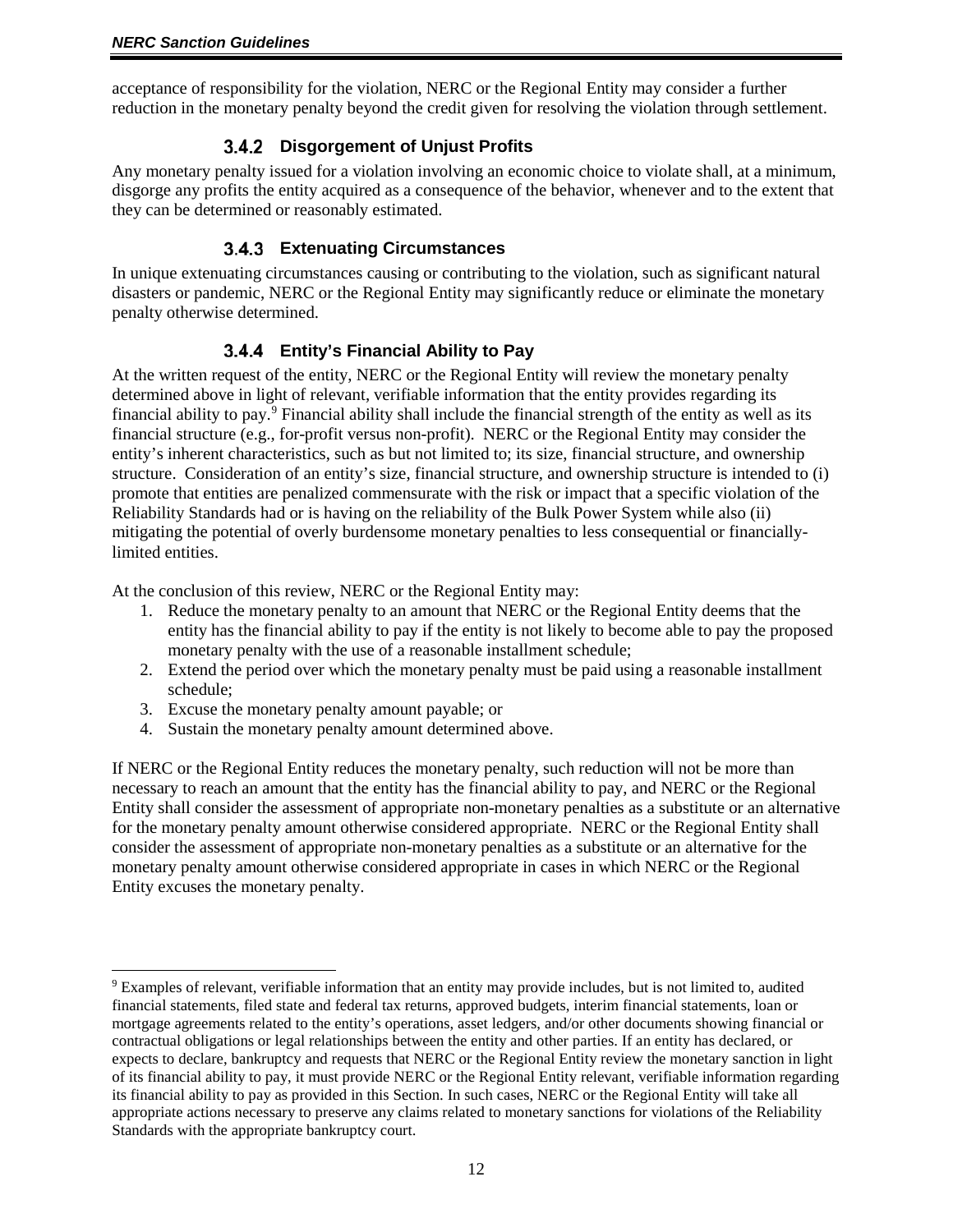<span id="page-11-0"></span>acceptance of responsibility for the violation, NERC or the Regional Entity may consider a further reduction in the monetary penalty beyond the credit given for resolving the violation through settlement.

## **Disgorgement of Unjust Profits**

Any monetary penalty issued for a violation involving an economic choice to violate shall, at a minimum, disgorge any profits the entity acquired as a consequence of the behavior, whenever and to the extent that they can be determined or reasonably estimated.

# **Extenuating Circumstances**

<span id="page-11-1"></span>In unique extenuating circumstances causing or contributing to the violation, such as significant natural disasters or pandemic, NERC or the Regional Entity may significantly reduce or eliminate the monetary penalty otherwise determined.

# **Entity's Financial Ability to Pay**

<span id="page-11-2"></span>At the written request of the entity, NERC or the Regional Entity will review the monetary penalty determined above in light of relevant, verifiable information that the entity provides regarding its financial ability to pay.[9](#page-11-3) Financial ability shall include the financial strength of the entity as well as its financial structure (e.g., for-profit versus non-profit). NERC or the Regional Entity may consider the entity's inherent characteristics, such as but not limited to; its size, financial structure, and ownership structure. Consideration of an entity's size, financial structure, and ownership structure is intended to (i) promote that entities are penalized commensurate with the risk or impact that a specific violation of the Reliability Standards had or is having on the reliability of the Bulk Power System while also (ii) mitigating the potential of overly burdensome monetary penalties to less consequential or financiallylimited entities.

At the conclusion of this review, NERC or the Regional Entity may:

- 1. Reduce the monetary penalty to an amount that NERC or the Regional Entity deems that the entity has the financial ability to pay if the entity is not likely to become able to pay the proposed monetary penalty with the use of a reasonable installment schedule;
- 2. Extend the period over which the monetary penalty must be paid using a reasonable installment schedule;
- 3. Excuse the monetary penalty amount payable; or
- 4. Sustain the monetary penalty amount determined above.

If NERC or the Regional Entity reduces the monetary penalty, such reduction will not be more than necessary to reach an amount that the entity has the financial ability to pay, and NERC or the Regional Entity shall consider the assessment of appropriate non-monetary penalties as a substitute or an alternative for the monetary penalty amount otherwise considered appropriate. NERC or the Regional Entity shall consider the assessment of appropriate non-monetary penalties as a substitute or an alternative for the monetary penalty amount otherwise considered appropriate in cases in which NERC or the Regional Entity excuses the monetary penalty.

<span id="page-11-3"></span> <sup>9</sup> Examples of relevant, verifiable information that an entity may provide includes, but is not limited to, audited financial statements, filed state and federal tax returns, approved budgets, interim financial statements, loan or mortgage agreements related to the entity's operations, asset ledgers, and/or other documents showing financial or contractual obligations or legal relationships between the entity and other parties. If an entity has declared, or expects to declare, bankruptcy and requests that NERC or the Regional Entity review the monetary sanction in light of its financial ability to pay, it must provide NERC or the Regional Entity relevant, verifiable information regarding its financial ability to pay as provided in this Section. In such cases, NERC or the Regional Entity will take all appropriate actions necessary to preserve any claims related to monetary sanctions for violations of the Reliability Standards with the appropriate bankruptcy court.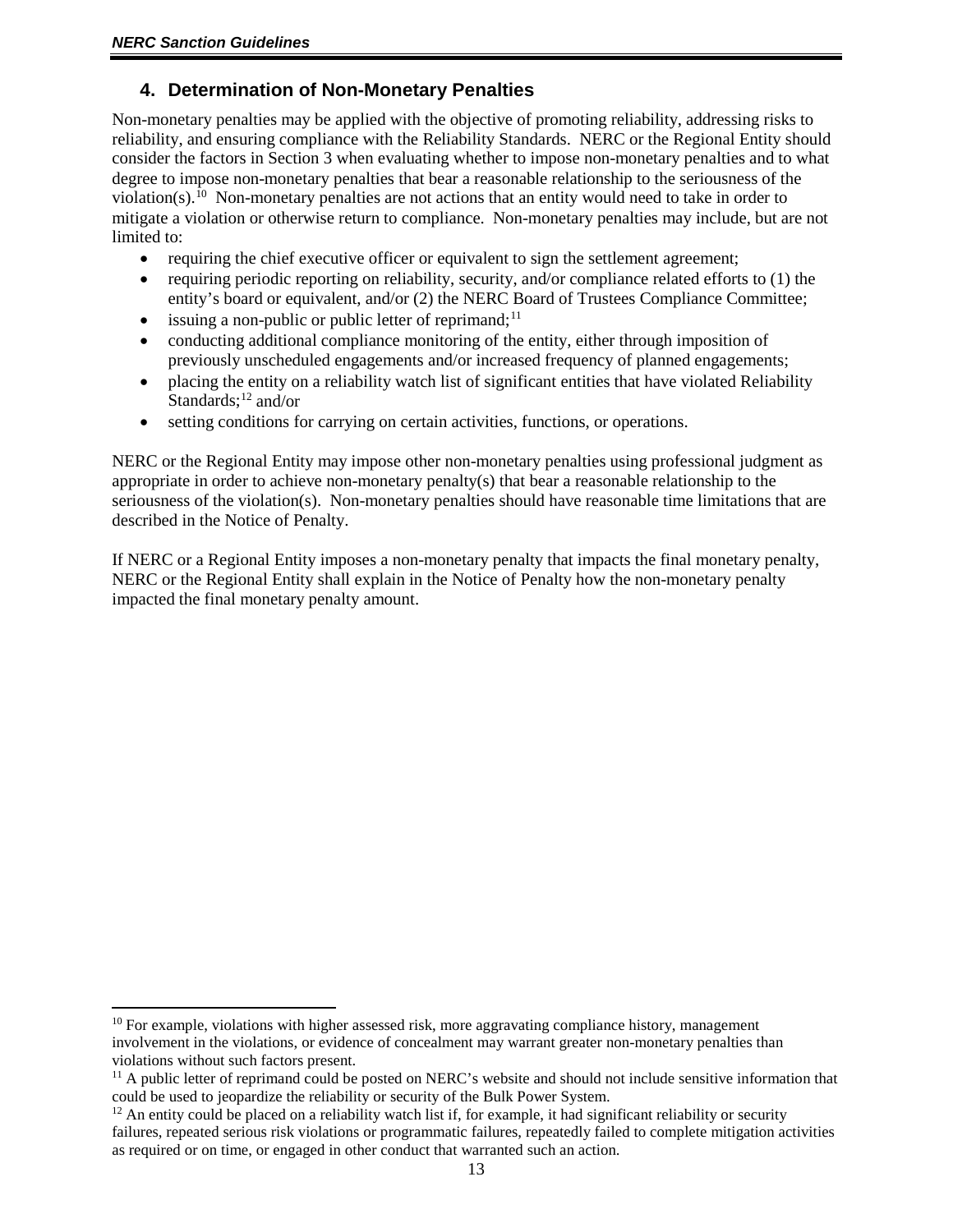## <span id="page-12-0"></span>**4. Determination of Non-Monetary Penalties**

Non-monetary penalties may be applied with the objective of promoting reliability, addressing risks to reliability, and ensuring compliance with the Reliability Standards. NERC or the Regional Entity should consider the factors in Section 3 when evaluating whether to impose non-monetary penalties and to what degree to impose non-monetary penalties that bear a reasonable relationship to the seriousness of the violation(s).<sup>10</sup> Non-monetary penalties are not actions that an entity would need to take in order to mitigate a violation or otherwise return to compliance. Non-monetary penalties may include, but are not limited to:

- requiring the chief executive officer or equivalent to sign the settlement agreement;
- requiring periodic reporting on reliability, security, and/or compliance related efforts to (1) the entity's board or equivalent, and/or (2) the NERC Board of Trustees Compliance Committee;
- issuing a non-public or public letter of reprimand; $^{11}$  $^{11}$  $^{11}$
- conducting additional compliance monitoring of the entity, either through imposition of previously unscheduled engagements and/or increased frequency of planned engagements;
- placing the entity on a reliability watch list of significant entities that have violated Reliability Standards; $^{12}$  and/or
- setting conditions for carrying on certain activities, functions, or operations.

NERC or the Regional Entity may impose other non-monetary penalties using professional judgment as appropriate in order to achieve non-monetary penalty(s) that bear a reasonable relationship to the seriousness of the violation(s). Non-monetary penalties should have reasonable time limitations that are described in the Notice of Penalty.

If NERC or a Regional Entity imposes a non-monetary penalty that impacts the final monetary penalty, NERC or the Regional Entity shall explain in the Notice of Penalty how the non-monetary penalty impacted the final monetary penalty amount.

<span id="page-12-1"></span> $10$  For example, violations with higher assessed risk, more aggravating compliance history, management involvement in the violations, or evidence of concealment may warrant greater non-monetary penalties than violations without such factors present.

<span id="page-12-2"></span><sup>&</sup>lt;sup>11</sup> A public letter of reprimand could be posted on NERC's website and should not include sensitive information that could be used to jeopardize the reliability or security of the Bulk Power System.

<span id="page-12-3"></span> $12$  An entity could be placed on a reliability watch list if, for example, it had significant reliability or security failures, repeated serious risk violations or programmatic failures, repeatedly failed to complete mitigation activities as required or on time, or engaged in other conduct that warranted such an action.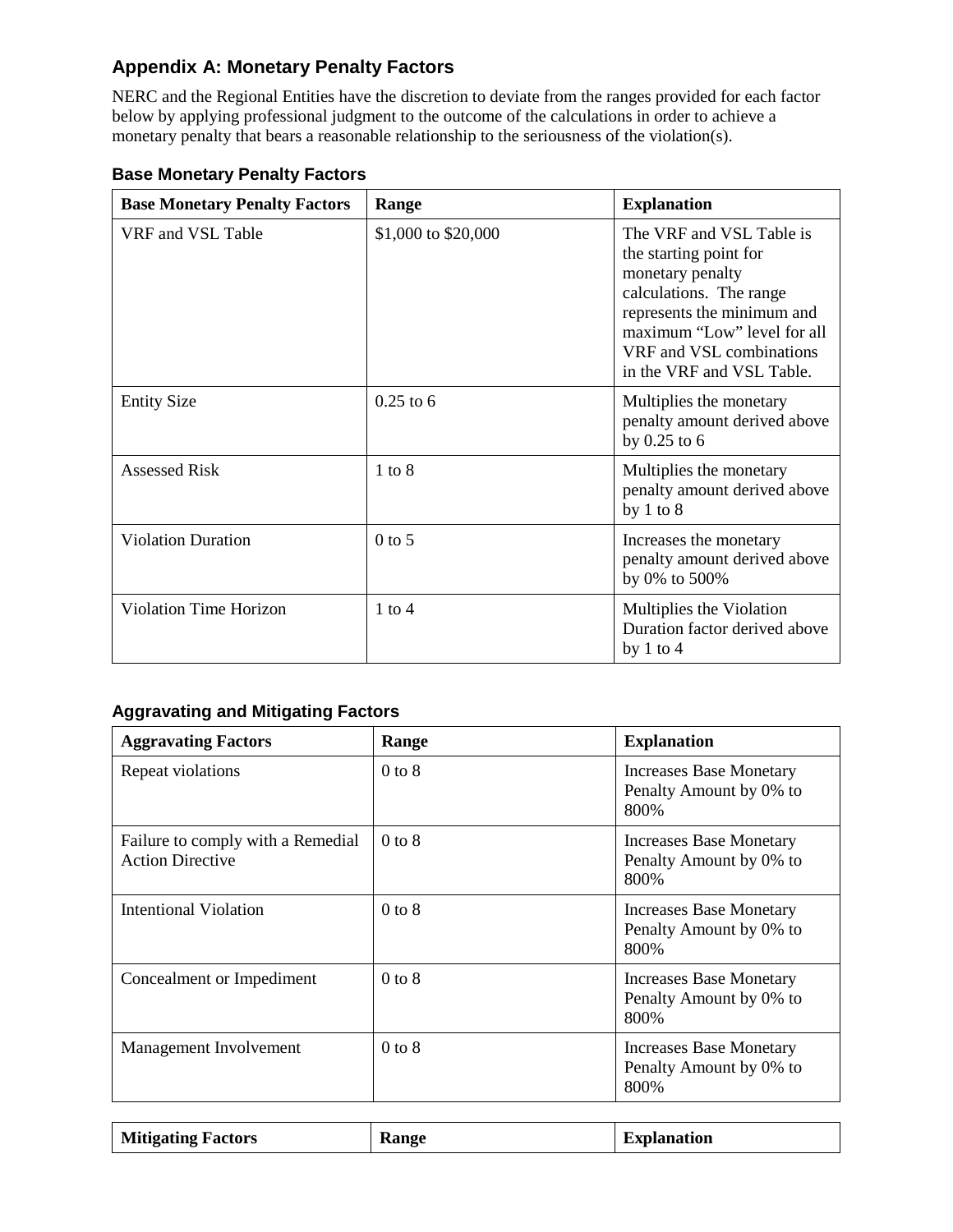# <span id="page-13-0"></span>**Appendix A: Monetary Penalty Factors**

NERC and the Regional Entities have the discretion to deviate from the ranges provided for each factor below by applying professional judgment to the outcome of the calculations in order to achieve a monetary penalty that bears a reasonable relationship to the seriousness of the violation(s).

| <b>Base Monetary Penalty Factors</b> | Range               | <b>Explanation</b>                                                                                                                                                                                                      |
|--------------------------------------|---------------------|-------------------------------------------------------------------------------------------------------------------------------------------------------------------------------------------------------------------------|
| VRF and VSL Table                    | \$1,000 to \$20,000 | The VRF and VSL Table is<br>the starting point for<br>monetary penalty<br>calculations. The range<br>represents the minimum and<br>maximum "Low" level for all<br>VRF and VSL combinations<br>in the VRF and VSL Table. |
| <b>Entity Size</b>                   | $0.25$ to 6         | Multiplies the monetary<br>penalty amount derived above<br>by $0.25$ to $6$                                                                                                                                             |
| <b>Assessed Risk</b>                 | $1$ to $8$          | Multiplies the monetary<br>penalty amount derived above<br>by $1$ to $8$                                                                                                                                                |
| <b>Violation Duration</b>            | $0$ to 5            | Increases the monetary<br>penalty amount derived above<br>by 0% to 500%                                                                                                                                                 |
| <b>Violation Time Horizon</b>        | $1$ to $4$          | Multiplies the Violation<br>Duration factor derived above<br>by $1$ to $4$                                                                                                                                              |

# <span id="page-13-1"></span>**Base Monetary Penalty Factors**

## <span id="page-13-2"></span>**Aggravating and Mitigating Factors**

| <b>Aggravating Factors</b>                                   | Range      | <b>Explanation</b>                                                 |  |
|--------------------------------------------------------------|------------|--------------------------------------------------------------------|--|
| Repeat violations                                            | $0$ to $8$ | <b>Increases Base Monetary</b><br>Penalty Amount by 0% to<br>800%  |  |
| Failure to comply with a Remedial<br><b>Action Directive</b> | $0$ to $8$ | <b>Increases Base Monetary</b><br>Penalty Amount by 0% to<br>800%  |  |
| Intentional Violation                                        | $0$ to $8$ | <b>Increases Base Monetary</b><br>Penalty Amount by 0% to<br>800\% |  |
| Concealment or Impediment                                    | $0$ to $8$ | <b>Increases Base Monetary</b><br>Penalty Amount by 0% to<br>800%  |  |
| Management Involvement                                       | $0$ to $8$ | <b>Increases Base Monetary</b><br>Penalty Amount by 0% to<br>800\% |  |

| <b>Mitigating Factors</b> | <b>Range</b> | <b>Explanation</b> |
|---------------------------|--------------|--------------------|
|---------------------------|--------------|--------------------|